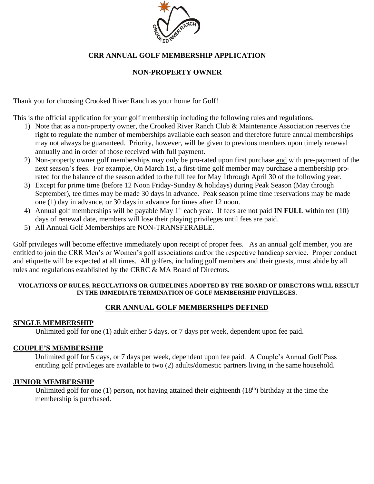

## **CRR ANNUAL GOLF MEMBERSHIP APPLICATION**

## **NON-PROPERTY OWNER**

Thank you for choosing Crooked River Ranch as your home for Golf!

This is the official application for your golf membership including the following rules and regulations.

- 1) Note that as a non-property owner, the Crooked River Ranch Club & Maintenance Association reserves the right to regulate the number of memberships available each season and therefore future annual memberships may not always be guaranteed. Priority, however, will be given to previous members upon timely renewal annually and in order of those received with full payment.
- 2) Non-property owner golf memberships may only be pro-rated upon first purchase and with pre-payment of the next season's fees. For example, On March 1st, a first-time golf member may purchase a membership prorated for the balance of the season added to the full fee for May 1through April 30 of the following year.
- 3) Except for prime time (before 12 Noon Friday-Sunday & holidays) during Peak Season (May through September), tee times may be made 30 days in advance. Peak season prime time reservations may be made one (1) day in advance, or 30 days in advance for times after 12 noon.
- 4) Annual golf memberships will be payable May 1<sup>st</sup> each year. If fees are not paid **IN FULL** within ten (10) days of renewal date, members will lose their playing privileges until fees are paid.
- 5) All Annual Golf Memberships are NON-TRANSFERABLE.

Golf privileges will become effective immediately upon receipt of proper fees. As an annual golf member, you are entitled to join the CRR Men's or Women's golf associations and/or the respective handicap service. Proper conduct and etiquette will be expected at all times. All golfers, including golf members and their guests, must abide by all rules and regulations established by the CRRC & MA Board of Directors.

#### **VIOLATIONS OF RULES, REGULATIONS OR GUIDELINES ADOPTED BY THE BOARD OF DIRECTORS WILL RESULT IN THE IMMEDIATE TERMINATION OF GOLF MEMBERSHIP PRIVILEGES.**

## **CRR ANNUAL GOLF MEMBERSHIPS DEFINED**

### **SINGLE MEMBERSHIP**

Unlimited golf for one (1) adult either 5 days, or 7 days per week, dependent upon fee paid.

### **COUPLE'S MEMBERSHIP**

Unlimited golf for 5 days, or 7 days per week, dependent upon fee paid. A Couple's Annual Golf Pass entitling golf privileges are available to two (2) adults/domestic partners living in the same household.

#### **JUNIOR MEMBERSHIP**

Unlimited golf for one  $(1)$  person, not having attained their eighteenth  $(18<sup>th</sup>)$  birthday at the time the membership is purchased.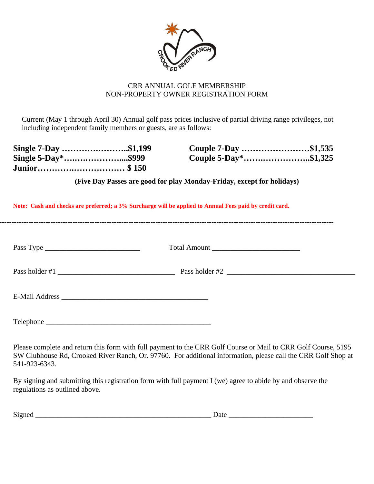

### CRR ANNUAL GOLF MEMBERSHIP NON-PROPERTY OWNER REGISTRATION FORM

Current (May 1 through April 30) Annual golf pass prices inclusive of partial driving range privileges, not including independent family members or guests, are as follows:

| Single 7-Day \$1,199 | Couple 7-Day \$1,535 |  |
|----------------------|----------------------|--|
| Single 5-Day*\$999   | Couple 5-Day*\$1,325 |  |
|                      |                      |  |

**(Five Day Passes are good for play Monday-Friday, except for holidays)**

| Note: Cash and checks are preferred; a 3% Surcharge will be applied to Annual Fees paid by credit card. |                |  |  |  |
|---------------------------------------------------------------------------------------------------------|----------------|--|--|--|
|                                                                                                         | Total Amount   |  |  |  |
| Pass holder $#1$ $\qquad \qquad$                                                                        | Pass holder #2 |  |  |  |
| E-Mail Address                                                                                          |                |  |  |  |
| Telephone                                                                                               |                |  |  |  |

Please complete and return this form with full payment to the CRR Golf Course or Mail to CRR Golf Course, 5195 SW Clubhouse Rd, Crooked River Ranch, Or. 97760. For additional information, please call the CRR Golf Shop at 541-923-6343.

By signing and submitting this registration form with full payment I (we) agree to abide by and observe the regulations as outlined above.